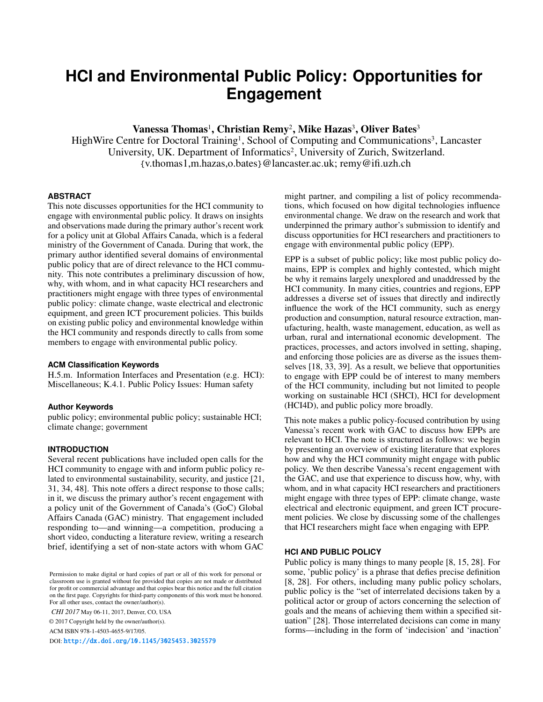# **HCI and Environmental Public Policy: Opportunities for Engagement**

Vanessa Thomas<sup>1</sup>, Christian Remy<sup>2</sup>, Mike Hazas<sup>3</sup>, Oliver Bates<sup>3</sup>

HighWire Centre for Doctoral Training<sup>1</sup>, School of Computing and Communications<sup>3</sup>, Lancaster University, UK. Department of Informatics<sup>2</sup>, University of Zurich, Switzerland. {v.thomas1,m.hazas,o.bates}@lancaster.ac.uk; remy@ifi.uzh.ch

## **ABSTRACT**

This note discusses opportunities for the HCI community to engage with environmental public policy. It draws on insights and observations made during the primary author's recent work for a policy unit at Global Affairs Canada, which is a federal ministry of the Government of Canada. During that work, the primary author identified several domains of environmental public policy that are of direct relevance to the HCI community. This note contributes a preliminary discussion of how, why, with whom, and in what capacity HCI researchers and practitioners might engage with three types of environmental public policy: climate change, waste electrical and electronic equipment, and green ICT procurement policies. This builds on existing public policy and environmental knowledge within the HCI community and responds directly to calls from some members to engage with environmental public policy.

## **ACM Classification Keywords**

H.5.m. Information Interfaces and Presentation (e.g. HCI): Miscellaneous; K.4.1. Public Policy Issues: Human safety

#### **Author Keywords**

public policy; environmental public policy; sustainable HCI; climate change; government

#### **INTRODUCTION**

Several recent publications have included open calls for the HCI community to engage with and inform public policy related to environmental sustainability, security, and justice [\[21,](#page-4-0) [31,](#page-5-0) [34,](#page-5-1) [48\]](#page-6-0). This note offers a direct response to those calls; in it, we discuss the primary author's recent engagement with a policy unit of the Government of Canada's (GoC) Global Affairs Canada (GAC) ministry. That engagement included responding to—and winning—a competition, producing a short video, conducting a literature review, writing a research brief, identifying a set of non-state actors with whom GAC

*CHI 2017* May 06-11, 2017, Denver, CO, USA

© 2017 Copyright held by the owner/author(s).

ACM ISBN 978-1-4503-4655-9/17/05.

DOI: <http://dx.doi.org/10.1145/3025453.3025579>

might partner, and compiling a list of policy recommendations, which focused on how digital technologies influence environmental change. We draw on the research and work that underpinned the primary author's submission to identify and discuss opportunities for HCI researchers and practitioners to engage with environmental public policy (EPP).

EPP is a subset of public policy; like most public policy domains, EPP is complex and highly contested, which might be why it remains largely unexplored and unaddressed by the HCI community. In many cities, countries and regions, EPP addresses a diverse set of issues that directly and indirectly influence the work of the HCI community, such as energy production and consumption, natural resource extraction, manufacturing, health, waste management, education, as well as urban, rural and international economic development. The practices, processes, and actors involved in setting, shaping, and enforcing those policies are as diverse as the issues themselves [\[18,](#page-4-1) [33,](#page-5-2) [39\]](#page-5-3). As a result, we believe that opportunities to engage with EPP could be of interest to many members of the HCI community, including but not limited to people working on sustainable HCI (SHCI), HCI for development (HCI4D), and public policy more broadly.

This note makes a public policy-focused contribution by using Vanessa's recent work with GAC to discuss how EPPs are relevant to HCI. The note is structured as follows: we begin by presenting an overview of existing literature that explores how and why the HCI community might engage with public policy. We then describe Vanessa's recent engagement with the GAC, and use that experience to discuss how, why, with whom, and in what capacity HCI researchers and practitioners might engage with three types of EPP: climate change, waste electrical and electronic equipment, and green ICT procurement policies. We close by discussing some of the challenges that HCI researchers might face when engaging with EPP.

## **HCI AND PUBLIC POLICY**

Public policy is many things to many people [\[8,](#page-4-2) [15,](#page-4-3) [28\]](#page-5-4). For some, 'public policy' is a phrase that defies precise definition [\[8,](#page-4-2) [28\]](#page-5-4). For others, including many public policy scholars, public policy is the "set of interrelated decisions taken by a political actor or group of actors concerning the selection of goals and the means of achieving them within a specified situation" [\[28\]](#page-5-4). Those interrelated decisions can come in many forms—including in the form of 'indecision' and 'inaction'

Permission to make digital or hard copies of part or all of this work for personal or classroom use is granted without fee provided that copies are not made or distributed for profit or commercial advantage and that copies bear this notice and the full citation on the first page. Copyrights for third-party components of this work must be honored. For all other uses, contact the owner/author(s).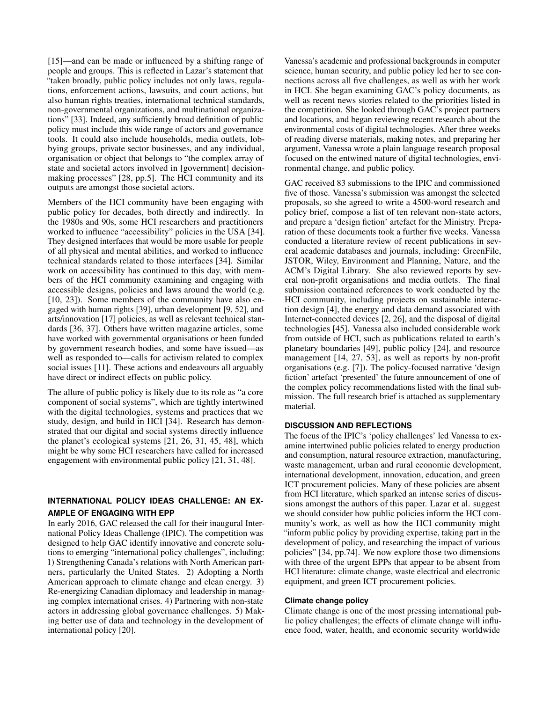[\[15\]](#page-4-3)—and can be made or influenced by a shifting range of people and groups. This is reflected in Lazar's statement that "taken broadly, public policy includes not only laws, regulations, enforcement actions, lawsuits, and court actions, but also human rights treaties, international technical standards, non-governmental organizations, and multinational organizations" [\[33\]](#page-5-2). Indeed, any sufficiently broad definition of public policy must include this wide range of actors and governance tools. It could also include households, media outlets, lobbying groups, private sector businesses, and any individual, organisation or object that belongs to "the complex array of state and societal actors involved in [government] decisionmaking processes" [\[28,](#page-5-4) pp.5]. The HCI community and its outputs are amongst those societal actors.

Members of the HCI community have been engaging with public policy for decades, both directly and indirectly. In the 1980s and 90s, some HCI researchers and practitioners worked to influence "accessibility" policies in the USA [\[34\]](#page-5-1). They designed interfaces that would be more usable for people of all physical and mental abilities, and worked to influence technical standards related to those interfaces [\[34\]](#page-5-1). Similar work on accessibility has continued to this day, with members of the HCI community examining and engaging with accessible designs, policies and laws around the world (e.g. [\[10,](#page-4-4) [23\]](#page-5-5)). Some members of the community have also engaged with human rights [\[39\]](#page-5-3), urban development [\[9,](#page-4-5) [52\]](#page-6-1), and arts/innovation [\[17\]](#page-4-6) policies, as well as relevant technical standards [\[36,](#page-5-6) [37\]](#page-5-7). Others have written magazine articles, some have worked with governmental organisations or been funded by government research bodies, and some have issued—as well as responded to—calls for activism related to complex social issues [\[11\]](#page-4-7). These actions and endeavours all arguably have direct or indirect effects on public policy.

The allure of public policy is likely due to its role as "a core component of social systems", which are tightly intertwined with the digital technologies, systems and practices that we study, design, and build in HCI [\[34\]](#page-5-1). Research has demonstrated that our digital and social systems directly influence the planet's ecological systems [\[21,](#page-4-0) [26,](#page-5-8) [31,](#page-5-0) [45,](#page-6-2) [48\]](#page-6-0), which might be why some HCI researchers have called for increased engagement with environmental public policy [\[21,](#page-4-0) [31,](#page-5-0) [48\]](#page-6-0).

# **INTERNATIONAL POLICY IDEAS CHALLENGE: AN EX-AMPLE OF ENGAGING WITH EPP**

In early 2016, GAC released the call for their inaugural International Policy Ideas Challenge (IPIC). The competition was designed to help GAC identify innovative and concrete solutions to emerging "international policy challenges", including: 1) Strengthening Canada's relations with North American partners, particularly the United States. 2) Adopting a North American approach to climate change and clean energy. 3) Re-energizing Canadian diplomacy and leadership in managing complex international crises. 4) Partnering with non-state actors in addressing global governance challenges. 5) Making better use of data and technology in the development of international policy [\[20\]](#page-4-8).

Vanessa's academic and professional backgrounds in computer science, human security, and public policy led her to see connections across all five challenges, as well as with her work in HCI. She began examining GAC's policy documents, as well as recent news stories related to the priorities listed in the competition. She looked through GAC's project partners and locations, and began reviewing recent research about the environmental costs of digital technologies. After three weeks of reading diverse materials, making notes, and preparing her argument, Vanessa wrote a plain language research proposal focused on the entwined nature of digital technologies, environmental change, and public policy.

GAC received 83 submissions to the IPIC and commissioned five of those. Vanessa's submission was amongst the selected proposals, so she agreed to write a 4500-word research and policy brief, compose a list of ten relevant non-state actors, and prepare a 'design fiction' artefact for the Ministry. Preparation of these documents took a further five weeks. Vanessa conducted a literature review of recent publications in several academic databases and journals, including: GreenFile, JSTOR, Wiley, Environment and Planning, Nature, and the ACM's Digital Library. She also reviewed reports by several non-profit organisations and media outlets. The final submission contained references to work conducted by the HCI community, including projects on sustainable interaction design [\[4\]](#page-4-9), the energy and data demand associated with Internet-connected devices [\[2,](#page-4-10) [26\]](#page-5-8), and the disposal of digital technologies [\[45\]](#page-6-2). Vanessa also included considerable work from outside of HCI, such as publications related to earth's planetary boundaries [\[49\]](#page-6-3), public policy [\[24\]](#page-5-9), and resource management [\[14,](#page-4-11) [27,](#page-5-10) [53\]](#page-6-4), as well as reports by non-profit organisations (e.g. [\[7\]](#page-4-12)). The policy-focused narrative 'design fiction' artefact 'presented' the future announcement of one of the complex policy recommendations listed with the final submission. The full research brief is attached as supplementary material.

## **DISCUSSION AND REFLECTIONS**

The focus of the IPIC's 'policy challenges' led Vanessa to examine intertwined public policies related to energy production and consumption, natural resource extraction, manufacturing, waste management, urban and rural economic development, international development, innovation, education, and green ICT procurement policies. Many of these policies are absent from HCI literature, which sparked an intense series of discussions amongst the authors of this paper. Lazar et al. suggest we should consider how public policies inform the HCI community's work, as well as how the HCI community might "inform public policy by providing expertise, taking part in the development of policy, and researching the impact of various policies" [\[34,](#page-5-1) pp.74]. We now explore those two dimensions with three of the urgent EPPs that appear to be absent from HCI literature: climate change, waste electrical and electronic equipment, and green ICT procurement policies.

## **Climate change policy**

Climate change is one of the most pressing international public policy challenges; the effects of climate change will influence food, water, health, and economic security worldwide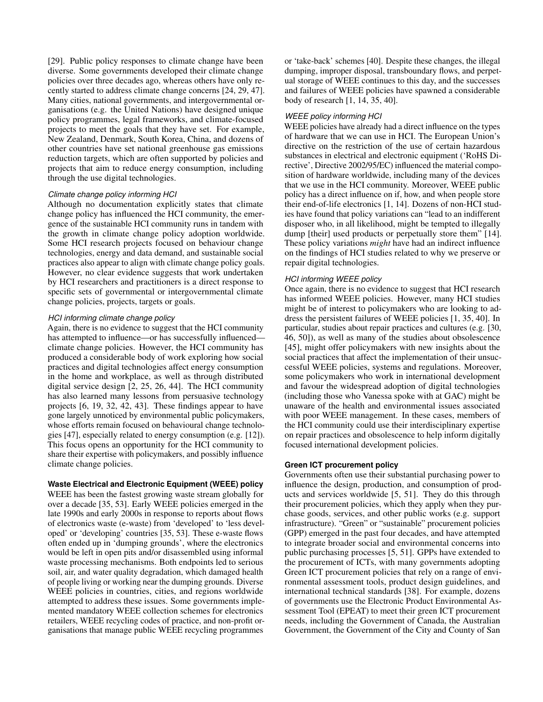[\[29\]](#page-5-11). Public policy responses to climate change have been diverse. Some governments developed their climate change policies over three decades ago, whereas others have only recently started to address climate change concerns [\[24,](#page-5-9) [29,](#page-5-11) [47\]](#page-6-5). Many cities, national governments, and intergovernmental organisations (e.g. the United Nations) have designed unique policy programmes, legal frameworks, and climate-focused projects to meet the goals that they have set. For example, New Zealand, Denmark, South Korea, China, and dozens of other countries have set national greenhouse gas emissions reduction targets, which are often supported by policies and projects that aim to reduce energy consumption, including through the use digital technologies.

## *Climate change policy informing HCI*

Although no documentation explicitly states that climate change policy has influenced the HCI community, the emergence of the sustainable HCI community runs in tandem with the growth in climate change policy adoption worldwide. Some HCI research projects focused on behaviour change technologies, energy and data demand, and sustainable social practices also appear to align with climate change policy goals. However, no clear evidence suggests that work undertaken by HCI researchers and practitioners is a direct response to specific sets of governmental or intergovernmental climate change policies, projects, targets or goals.

## *HCI informing climate change policy*

Again, there is no evidence to suggest that the HCI community has attempted to influence—or has successfully influenced climate change policies. However, the HCI community has produced a considerable body of work exploring how social practices and digital technologies affect energy consumption in the home and workplace, as well as through distributed digital service design [\[2,](#page-4-10) [25,](#page-5-12) [26,](#page-5-8) [44\]](#page-6-6). The HCI community has also learned many lessons from persuasive technology projects [\[6,](#page-4-13) [19,](#page-4-14) [32,](#page-5-13) [42,](#page-5-14) [43\]](#page-6-7). These findings appear to have gone largely unnoticed by environmental public policymakers, whose efforts remain focused on behavioural change technologies [\[47\]](#page-6-5), especially related to energy consumption (e.g. [\[12\]](#page-4-15)). This focus opens an opportunity for the HCI community to share their expertise with policymakers, and possibly influence climate change policies.

## **Waste Electrical and Electronic Equipment (WEEE) policy**

WEEE has been the fastest growing waste stream globally for over a decade [\[35,](#page-5-15) [53\]](#page-6-4). Early WEEE policies emerged in the late 1990s and early 2000s in response to reports about flows of electronics waste (e-waste) from 'developed' to 'less developed' or 'developing' countries [\[35,](#page-5-15) [53\]](#page-6-4). These e-waste flows often ended up in 'dumping grounds', where the electronics would be left in open pits and/or disassembled using informal waste processing mechanisms. Both endpoints led to serious soil, air, and water quality degradation, which damaged health of people living or working near the dumping grounds. Diverse WEEE policies in countries, cities, and regions worldwide attempted to address these issues. Some governments implemented mandatory WEEE collection schemes for electronics retailers, WEEE recycling codes of practice, and non-profit organisations that manage public WEEE recycling programmes or 'take-back' schemes [\[40\]](#page-5-16). Despite these changes, the illegal dumping, improper disposal, transboundary flows, and perpetual storage of WEEE continues to this day, and the successes and failures of WEEE policies have spawned a considerable body of research [\[1,](#page-4-16) [14,](#page-4-11) [35,](#page-5-15) [40\]](#page-5-16).

## *WEEE policy informing HCI*

WEEE policies have already had a direct influence on the types of hardware that we can use in HCI. The European Union's directive on the restriction of the use of certain hazardous substances in electrical and electronic equipment ('RoHS Directive', Directive 2002/95/EC) influenced the material composition of hardware worldwide, including many of the devices that we use in the HCI community. Moreover, WEEE public policy has a direct influence on if, how, and when people store their end-of-life electronics [\[1,](#page-4-16) [14\]](#page-4-11). Dozens of non-HCI studies have found that policy variations can "lead to an indifferent disposer who, in all likelihood, might be tempted to illegally dump [their] used products or perpetually store them" [\[14\]](#page-4-11). These policy variations *might* have had an indirect influence on the findings of HCI studies related to why we preserve or repair digital technologies.

## *HCI informing WEEE policy*

Once again, there is no evidence to suggest that HCI research has informed WEEE policies. However, many HCI studies might be of interest to policymakers who are looking to address the persistent failures of WEEE policies [\[1,](#page-4-16) [35,](#page-5-15) [40\]](#page-5-16). In particular, studies about repair practices and cultures (e.g. [\[30,](#page-5-17) [46,](#page-6-8) [50\]](#page-6-9)), as well as many of the studies about obsolescence [\[45\]](#page-6-2), might offer policymakers with new insights about the social practices that affect the implementation of their unsuccessful WEEE policies, systems and regulations. Moreover, some policymakers who work in international development and favour the widespread adoption of digital technologies (including those who Vanessa spoke with at GAC) might be unaware of the health and environmental issues associated with poor WEEE management. In these cases, members of the HCI community could use their interdisciplinary expertise on repair practices and obsolescence to help inform digitally focused international development policies.

## **Green ICT procurement policy**

Governments often use their substantial purchasing power to influence the design, production, and consumption of products and services worldwide [\[5,](#page-4-17) [51\]](#page-6-10). They do this through their procurement policies, which they apply when they purchase goods, services, and other public works (e.g. support infrastructure). "Green" or "sustainable" procurement policies (GPP) emerged in the past four decades, and have attempted to integrate broader social and environmental concerns into public purchasing processes [\[5,](#page-4-17) [51\]](#page-6-10). GPPs have extended to the procurement of ICTs, with many governments adopting Green ICT procurement policies that rely on a range of environmental assessment tools, product design guidelines, and international technical standards [\[38\]](#page-5-18). For example, dozens of governments use the Electronic Product Environmental Assessment Tool (EPEAT) to meet their green ICT procurement needs, including the Government of Canada, the Australian Government, the Government of the City and County of San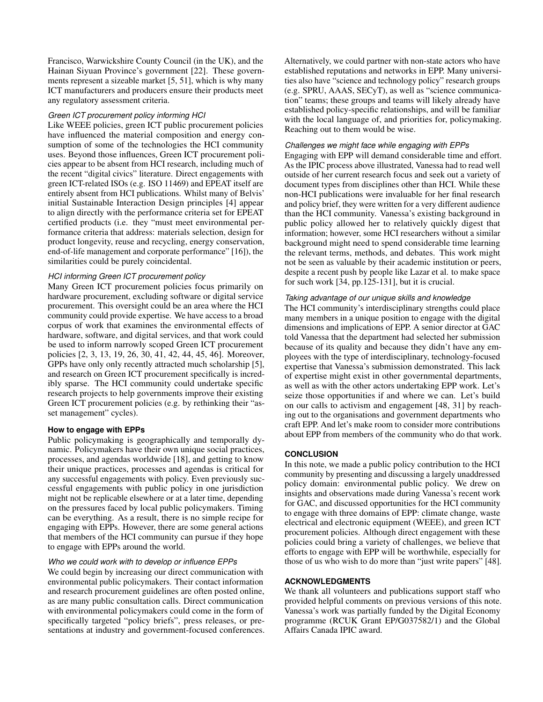Francisco, Warwickshire County Council (in the UK), and the Hainan Siyuan Province's government [\[22\]](#page-5-19). These governments represent a sizeable market [\[5,](#page-4-17) [51\]](#page-6-10), which is why many ICT manufacturers and producers ensure their products meet any regulatory assessment criteria.

## *Green ICT procurement policy informing HCI*

Like WEEE policies, green ICT public procurement policies have influenced the material composition and energy consumption of some of the technologies the HCI community uses. Beyond those influences, Green ICT procurement policies appear to be absent from HCI research, including much of the recent "digital civics" literature. Direct engagements with green ICT-related ISOs (e.g. ISO 11469) and EPEAT itself are entirely absent from HCI publications. Whilst many of Belvis' initial Sustainable Interaction Design principles [\[4\]](#page-4-9) appear to align directly with the performance criteria set for EPEAT certified products (i.e. they "must meet environmental performance criteria that address: materials selection, design for product longevity, reuse and recycling, energy conservation, end-of-life management and corporate performance" [\[16\]](#page-4-18)), the similarities could be purely coincidental.

## *HCI informing Green ICT procurement policy*

Many Green ICT procurement policies focus primarily on hardware procurement, excluding software or digital service procurement. This oversight could be an area where the HCI community could provide expertise. We have access to a broad corpus of work that examines the environmental effects of hardware, software, and digital services, and that work could be used to inform narrowly scoped Green ICT procurement policies [\[2,](#page-4-10) [3,](#page-4-19) [13,](#page-4-20) [19,](#page-4-14) [26,](#page-5-8) [30,](#page-5-17) [41,](#page-5-20) [42,](#page-5-14) [44,](#page-6-6) [45,](#page-6-2) [46\]](#page-6-8). Moreover, GPPs have only only recently attracted much scholarship [\[5\]](#page-4-17), and research on Green ICT procurement specifically is incredibly sparse. The HCI community could undertake specific research projects to help governments improve their existing Green ICT procurement policies (e.g. by rethinking their "asset management" cycles).

## **How to engage with EPPs**

Public policymaking is geographically and temporally dynamic. Policymakers have their own unique social practices, processes, and agendas worldwide [\[18\]](#page-4-1), and getting to know their unique practices, processes and agendas is critical for any successful engagements with policy. Even previously successful engagements with public policy in one jurisdiction might not be replicable elsewhere or at a later time, depending on the pressures faced by local public policymakers. Timing can be everything. As a result, there is no simple recipe for engaging with EPPs. However, there are some general actions that members of the HCI community can pursue if they hope to engage with EPPs around the world.

## *Who we could work with to develop or influence EPPs*

We could begin by increasing our direct communication with environmental public policymakers. Their contact information and research procurement guidelines are often posted online, as are many public consultation calls. Direct communication with environmental policymakers could come in the form of specifically targeted "policy briefs", press releases, or presentations at industry and government-focused conferences. Alternatively, we could partner with non-state actors who have established reputations and networks in EPP. Many universities also have "science and technology policy" research groups (e.g. SPRU, AAAS, SECyT), as well as "science communication" teams; these groups and teams will likely already have established policy-specific relationships, and will be familiar with the local language of, and priorities for, policymaking. Reaching out to them would be wise.

## *Challenges we might face while engaging with EPPs*

Engaging with EPP will demand considerable time and effort. As the IPIC process above illustrated, Vanessa had to read well outside of her current research focus and seek out a variety of document types from disciplines other than HCI. While these non-HCI publications were invaluable for her final research and policy brief, they were written for a very different audience than the HCI community. Vanessa's existing background in public policy allowed her to relatively quickly digest that information; however, some HCI researchers without a similar background might need to spend considerable time learning the relevant terms, methods, and debates. This work might not be seen as valuable by their academic institution or peers, despite a recent push by people like Lazar et al. to make space for such work [\[34,](#page-5-1) pp.125-131], but it is crucial.

## *Taking advantage of our unique skills and knowledge*

The HCI community's interdisciplinary strengths could place many members in a unique position to engage with the digital dimensions and implications of EPP. A senior director at GAC told Vanessa that the department had selected her submission because of its quality and because they didn't have any employees with the type of interdisciplinary, technology-focused expertise that Vanessa's submission demonstrated. This lack of expertise might exist in other governmental departments, as well as with the other actors undertaking EPP work. Let's seize those opportunities if and where we can. Let's build on our calls to activism and engagement [\[48,](#page-6-0) [31\]](#page-5-0) by reaching out to the organisations and government departments who craft EPP. And let's make room to consider more contributions about EPP from members of the community who do that work.

## **CONCLUSION**

In this note, we made a public policy contribution to the HCI community by presenting and discussing a largely unaddressed policy domain: environmental public policy. We drew on insights and observations made during Vanessa's recent work for GAC, and discussed opportunities for the HCI community to engage with three domains of EPP: climate change, waste electrical and electronic equipment (WEEE), and green ICT procurement policies. Although direct engagement with these policies could bring a variety of challenges, we believe that efforts to engage with EPP will be worthwhile, especially for those of us who wish to do more than "just write papers" [\[48\]](#page-6-0).

## **ACKNOWLEDGMENTS**

We thank all volunteers and publications support staff who provided helpful comments on previous versions of this note. Vanessa's work was partially funded by the Digital Economy programme (RCUK Grant EP/G037582/1) and the Global Affairs Canada IPIC award.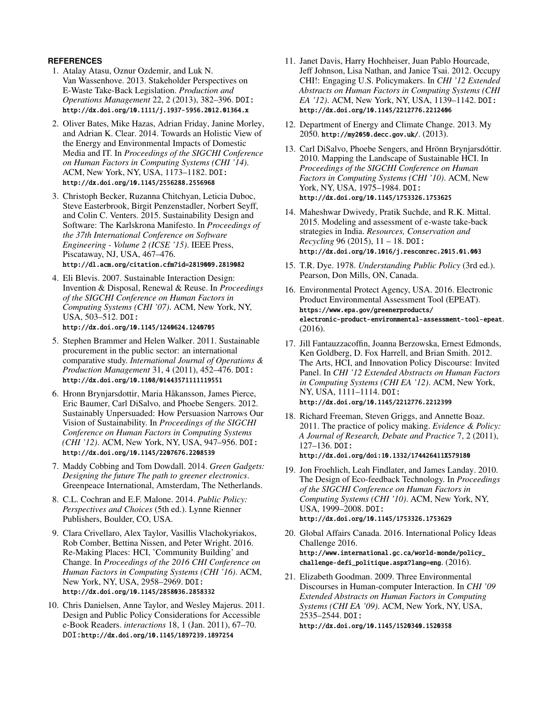# <span id="page-4-16"></span>**REFERENCES**

- 1. Atalay Atasu, Oznur Ozdemir, and Luk N. Van Wassenhove. 2013. Stakeholder Perspectives on E-Waste Take-Back Legislation. *Production and Operations Management* 22, 2 (2013), 382–396. DOI: <http://dx.doi.org/10.1111/j.1937-5956.2012.01364.x>
- <span id="page-4-10"></span>2. Oliver Bates, Mike Hazas, Adrian Friday, Janine Morley, and Adrian K. Clear. 2014. Towards an Holistic View of the Energy and Environmental Impacts of Domestic Media and IT. In *Proceedings of the SIGCHI Conference on Human Factors in Computing Systems (CHI '14)*. ACM, New York, NY, USA, 1173–1182. DOI: <http://dx.doi.org/10.1145/2556288.2556968>
- <span id="page-4-19"></span>3. Christoph Becker, Ruzanna Chitchyan, Leticia Duboc, Steve Easterbrook, Birgit Penzenstadler, Norbert Seyff, and Colin C. Venters. 2015. Sustainability Design and Software: The Karlskrona Manifesto. In *Proceedings of the 37th International Conference on Software Engineering - Volume 2 (ICSE '15)*. IEEE Press, Piscataway, NJ, USA, 467–476. <http://dl.acm.org/citation.cfm?id=2819009.2819082>
- <span id="page-4-9"></span>4. Eli Blevis. 2007. Sustainable Interaction Design: Invention & Disposal, Renewal & Reuse. In *Proceedings of the SIGCHI Conference on Human Factors in Computing Systems (CHI '07)*. ACM, New York, NY, USA, 503–512. DOI: <http://dx.doi.org/10.1145/1240624.1240705>
- <span id="page-4-17"></span>5. Stephen Brammer and Helen Walker. 2011. Sustainable
- procurement in the public sector: an international comparative study. *International Journal of Operations & Production Management* 31, 4 (2011), 452–476. DOI: <http://dx.doi.org/10.1108/01443571111119551>
- <span id="page-4-13"></span>6. Hronn Brynjarsdottir, Maria Håkansson, James Pierce, Eric Baumer, Carl DiSalvo, and Phoebe Sengers. 2012. Sustainably Unpersuaded: How Persuasion Narrows Our Vision of Sustainability. In *Proceedings of the SIGCHI Conference on Human Factors in Computing Systems (CHI '12)*. ACM, New York, NY, USA, 947–956. DOI: <http://dx.doi.org/10.1145/2207676.2208539>
- <span id="page-4-12"></span>7. Maddy Cobbing and Tom Dowdall. 2014. *Green Gadgets: Designing the future The path to greener electronics*. Greenpeace International, Amsterdam, The Netherlands.
- <span id="page-4-2"></span>8. C.L. Cochran and E.F. Malone. 2014. *Public Policy: Perspectives and Choices* (5th ed.). Lynne Rienner Publishers, Boulder, CO, USA.
- <span id="page-4-5"></span>9. Clara Crivellaro, Alex Taylor, Vasillis Vlachokyriakos, Rob Comber, Bettina Nissen, and Peter Wright. 2016. Re-Making Places: HCI, 'Community Building' and Change. In *Proceedings of the 2016 CHI Conference on Human Factors in Computing Systems (CHI '16)*. ACM, New York, NY, USA, 2958–2969. DOI: <http://dx.doi.org/10.1145/2858036.2858332>
- <span id="page-4-4"></span>10. Chris Danielsen, Anne Taylor, and Wesley Majerus. 2011. Design and Public Policy Considerations for Accessible e-Book Readers. *interactions* 18, 1 (Jan. 2011), 67–70. DOI:<http://dx.doi.org/10.1145/1897239.1897254>
- <span id="page-4-7"></span>11. Janet Davis, Harry Hochheiser, Juan Pablo Hourcade, Jeff Johnson, Lisa Nathan, and Janice Tsai. 2012. Occupy CHI!: Engaging U.S. Policymakers. In *CHI '12 Extended Abstracts on Human Factors in Computing Systems (CHI EA '12)*. ACM, New York, NY, USA, 1139–1142. DOI: <http://dx.doi.org/10.1145/2212776.2212406>
- <span id="page-4-15"></span>12. Department of Energy and Climate Change. 2013. My 2050. <http://my2050.decc.gov.uk/>. (2013).
- <span id="page-4-20"></span>13. Carl DiSalvo, Phoebe Sengers, and Hrönn Brynjarsdóttir. 2010. Mapping the Landscape of Sustainable HCI. In *Proceedings of the SIGCHI Conference on Human Factors in Computing Systems (CHI '10)*. ACM, New York, NY, USA, 1975–1984. DOI: <http://dx.doi.org/10.1145/1753326.1753625>
- <span id="page-4-11"></span>14. Maheshwar Dwivedy, Pratik Suchde, and R.K. Mittal. 2015. Modeling and assessment of e-waste take-back strategies in India. *Resources, Conservation and Recycling* 96 (2015), 11 – 18. DOI: <http://dx.doi.org/10.1016/j.resconrec.2015.01.003>
- <span id="page-4-3"></span>15. T.R. Dye. 1978. *Understanding Public Policy* (3rd ed.). Pearson, Don Mills, ON, Canada.
- <span id="page-4-18"></span>16. Environmental Protect Agency, USA. 2016. Electronic Product Environmental Assessment Tool (EPEAT). [https://www.epa.gov/greenerproducts/](https://www.epa.gov/greenerproducts/electronic-product-environmental-assessment-tool-epeat) [electronic-product-environmental-assessment-tool-epeat](https://www.epa.gov/greenerproducts/electronic-product-environmental-assessment-tool-epeat). (2016).
- <span id="page-4-6"></span>17. Jill Fantauzzacoffin, Joanna Berzowska, Ernest Edmonds, Ken Goldberg, D. Fox Harrell, and Brian Smith. 2012. The Arts, HCI, and Innovation Policy Discourse: Invited Panel. In *CHI '12 Extended Abstracts on Human Factors in Computing Systems (CHI EA '12)*. ACM, New York, NY, USA, 1111–1114. DOI: <http://dx.doi.org/10.1145/2212776.2212399>
- <span id="page-4-1"></span>18. Richard Freeman, Steven Griggs, and Annette Boaz. 2011. The practice of policy making. *Evidence & Policy: A Journal of Research, Debate and Practice* 7, 2 (2011), 127–136. DOI: <http://dx.doi.org/doi:10.1332/174426411X579180>
- <span id="page-4-14"></span>19. Jon Froehlich, Leah Findlater, and James Landay. 2010. The Design of Eco-feedback Technology. In *Proceedings of the SIGCHI Conference on Human Factors in Computing Systems (CHI '10)*. ACM, New York, NY, USA, 1999–2008. DOI: <http://dx.doi.org/10.1145/1753326.1753629>
- <span id="page-4-8"></span>20. Global Affairs Canada. 2016. International Policy Ideas Challenge 2016. [http://www.international.gc.ca/world-monde/policy\\_](http://www.international.gc.ca/world-monde/policy_challenge-defi_politique.aspx?lang=eng) [challenge-defi\\_politique.aspx?lang=eng](http://www.international.gc.ca/world-monde/policy_challenge-defi_politique.aspx?lang=eng). (2016).
- <span id="page-4-0"></span>21. Elizabeth Goodman. 2009. Three Environmental Discourses in Human-computer Interaction. In *CHI '09 Extended Abstracts on Human Factors in Computing Systems (CHI EA '09)*. ACM, New York, NY, USA, 2535–2544. DOI: <http://dx.doi.org/10.1145/1520340.1520358>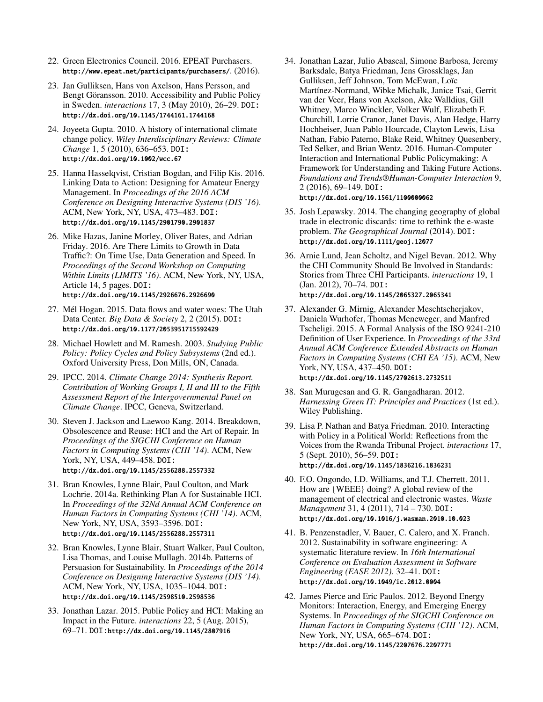- <span id="page-5-19"></span>22. Green Electronics Council. 2016. EPEAT Purchasers. <http://www.epeat.net/participants/purchasers/>. (2016).
- <span id="page-5-5"></span>23. Jan Gulliksen, Hans von Axelson, Hans Persson, and Bengt Göransson. 2010. Accessibility and Public Policy in Sweden. *interactions* 17, 3 (May 2010), 26–29. DOI: <http://dx.doi.org/10.1145/1744161.1744168>
- <span id="page-5-9"></span>24. Joyeeta Gupta. 2010. A history of international climate change policy. *Wiley Interdisciplinary Reviews: Climate Change* 1, 5 (2010), 636–653. DOI: <http://dx.doi.org/10.1002/wcc.67>
- <span id="page-5-12"></span>25. Hanna Hasselqvist, Cristian Bogdan, and Filip Kis. 2016. Linking Data to Action: Designing for Amateur Energy Management. In *Proceedings of the 2016 ACM Conference on Designing Interactive Systems (DIS '16)*. ACM, New York, NY, USA, 473–483. DOI: <http://dx.doi.org/10.1145/2901790.2901837>
- <span id="page-5-8"></span>26. Mike Hazas, Janine Morley, Oliver Bates, and Adrian Friday. 2016. Are There Limits to Growth in Data Traffic?: On Time Use, Data Generation and Speed. In *Proceedings of the Second Workshop on Computing Within Limits (LIMITS '16)*. ACM, New York, NY, USA, Article 14, 5 pages. DOI: <http://dx.doi.org/10.1145/2926676.2926690>
- <span id="page-5-10"></span>27. Mél Hogan. 2015. Data flows and water woes: The Utah Data Center. *Big Data & Society* 2, 2 (2015). DOI: <http://dx.doi.org/10.1177/2053951715592429>
- <span id="page-5-4"></span>28. Michael Howlett and M. Ramesh. 2003. *Studying Public Policy: Policy Cycles and Policy Subsystems* (2nd ed.). Oxford University Press, Don Mills, ON, Canada.
- <span id="page-5-11"></span>29. IPCC. 2014. *Climate Change 2014: Synthesis Report. Contribution of Working Groups I, II and III to the Fifth Assessment Report of the Intergovernmental Panel on Climate Change*. IPCC, Geneva, Switzerland.
- <span id="page-5-17"></span>30. Steven J. Jackson and Laewoo Kang. 2014. Breakdown, Obsolescence and Reuse: HCI and the Art of Repair. In *Proceedings of the SIGCHI Conference on Human Factors in Computing Systems (CHI '14)*. ACM, New York, NY, USA, 449–458. DOI: <http://dx.doi.org/10.1145/2556288.2557332>
- <span id="page-5-0"></span>31. Bran Knowles, Lynne Blair, Paul Coulton, and Mark Lochrie. 2014a. Rethinking Plan A for Sustainable HCI. In *Proceedings of the 32Nd Annual ACM Conference on Human Factors in Computing Systems (CHI '14)*. ACM, New York, NY, USA, 3593–3596. DOI: <http://dx.doi.org/10.1145/2556288.2557311>
- <span id="page-5-13"></span>32. Bran Knowles, Lynne Blair, Stuart Walker, Paul Coulton, Lisa Thomas, and Louise Mullagh. 2014b. Patterns of Persuasion for Sustainability. In *Proceedings of the 2014 Conference on Designing Interactive Systems (DIS '14)*. ACM, New York, NY, USA, 1035–1044. DOI: <http://dx.doi.org/10.1145/2598510.2598536>
- <span id="page-5-2"></span>33. Jonathan Lazar. 2015. Public Policy and HCI: Making an Impact in the Future. *interactions* 22, 5 (Aug. 2015), 69–71. DOI:<http://dx.doi.org/10.1145/2807916>
- <span id="page-5-1"></span>34. Jonathan Lazar, Julio Abascal, Simone Barbosa, Jeremy Barksdale, Batya Friedman, Jens Grossklags, Jan Gulliksen, Jeff Johnson, Tom McEwan, Loïc Martínez-Normand, Wibke Michalk, Janice Tsai, Gerrit van der Veer, Hans von Axelson, Ake Walldius, Gill Whitney, Marco Winckler, Volker Wulf, Elizabeth F. Churchill, Lorrie Cranor, Janet Davis, Alan Hedge, Harry Hochheiser, Juan Pablo Hourcade, Clayton Lewis, Lisa Nathan, Fabio Paterno, Blake Reid, Whitney Quesenbery, Ted Selker, and Brian Wentz. 2016. Human-Computer Interaction and International Public Policymaking: A Framework for Understanding and Taking Future Actions. *Foundations and Trends®Human-Computer Interaction* 9, 2 (2016), 69–149. DOI: <http://dx.doi.org/10.1561/1100000062>
- <span id="page-5-15"></span>35. Josh Lepawsky. 2014. The changing geography of global trade in electronic discards: time to rethink the e-waste problem. *The Geographical Journal* (2014). DOI: <http://dx.doi.org/10.1111/geoj.12077>
- <span id="page-5-6"></span>36. Arnie Lund, Jean Scholtz, and Nigel Bevan. 2012. Why the CHI Community Should Be Involved in Standards: Stories from Three CHI Participants. *interactions* 19, 1 (Jan. 2012), 70–74. DOI: <http://dx.doi.org/10.1145/2065327.2065341>
- <span id="page-5-7"></span>37. Alexander G. Mirnig, Alexander Meschtscherjakov, Daniela Wurhofer, Thomas Meneweger, and Manfred Tscheligi. 2015. A Formal Analysis of the ISO 9241-210 Definition of User Experience. In *Proceedings of the 33rd Annual ACM Conference Extended Abstracts on Human Factors in Computing Systems (CHI EA '15)*. ACM, New York, NY, USA, 437–450. DOI: <http://dx.doi.org/10.1145/2702613.2732511>
- <span id="page-5-18"></span>38. San Murugesan and G. R. Gangadharan. 2012. *Harnessing Green IT: Principles and Practices* (1st ed.). Wiley Publishing.
- <span id="page-5-3"></span>39. Lisa P. Nathan and Batya Friedman. 2010. Interacting with Policy in a Political World: Reflections from the Voices from the Rwanda Tribunal Project. *interactions* 17, 5 (Sept. 2010), 56–59. DOI: <http://dx.doi.org/10.1145/1836216.1836231>
- <span id="page-5-16"></span>40. F.O. Ongondo, I.D. Williams, and T.J. Cherrett. 2011. How are {WEEE} doing? A global review of the management of electrical and electronic wastes. *Waste Management* 31, 4 (2011), 714 – 730. DOI: <http://dx.doi.org/10.1016/j.wasman.2010.10.023>
- <span id="page-5-20"></span>41. B. Penzenstadler, V. Bauer, C. Calero, and X. Franch. 2012. Sustainability in software engineering: A systematic literature review. In *16th International Conference on Evaluation Assessment in Software Engineering (EASE 2012)*. 32–41. DOI: <http://dx.doi.org/10.1049/ic.2012.0004>
- <span id="page-5-14"></span>42. James Pierce and Eric Paulos. 2012. Beyond Energy Monitors: Interaction, Energy, and Emerging Energy Systems. In *Proceedings of the SIGCHI Conference on Human Factors in Computing Systems (CHI '12)*. ACM, New York, NY, USA, 665–674. DOI: <http://dx.doi.org/10.1145/2207676.2207771>